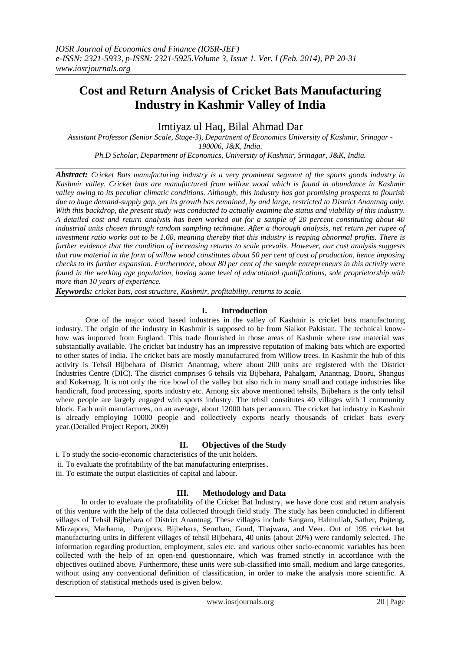# **Cost and Return Analysis of Cricket Bats Manufacturing Industry in Kashmir Valley of India**

Imtiyaz ul Haq, Bilal Ahmad Dar

*Assistant Professor (Senior Scale, Stage-3), Department of Economics University of Kashmir, Srinagar - 190006, J&K, India. Ph.D Scholar, Department of Economics, University of Kashmir, Srinagar, J&K, India.*

*Abstract: Cricket Bats manufacturing industry is a very prominent segment of the sports goods industry in Kashmir valley. Cricket bats are manufactured from willow wood which is found in abundance in Kashmir valley owing to its peculiar climatic conditions. Although, this industry has got promising prospects to flourish due to huge demand-supply gap, yet its growth has remained, by and large, restricted to District Anantnag only. With this backdrop, the present study was conducted to actually examine the status and viability of this industry. A detailed cost and return analysis has been worked out for a sample of 20 percent constituting about 40 industrial units chosen through random sampling technique. After a thorough analysis, net return per rupee of investment ratio works out to be 1.60, meaning thereby that this industry is reaping abnormal profits. There is further evidence that the condition of increasing returns to scale prevails. However, our cost analysis suggests that raw material in the form of willow wood constitutes about 50 per cent of cost of production, hence imposing checks to its further expansion. Furthermore, about 80 per cent of the sample entrepreneurs in this activity were found in the working age population, having some level of educational qualifications, sole proprietorship with more than 10 years of experience.*

*Keywords: cricket bats, cost structure, Kashmir, profitability, returns to scale.*

# **I. Introduction**

 One of the major wood based industries in the valley of Kashmir is cricket bats manufacturing industry. The origin of the industry in Kashmir is supposed to be from Sialkot Pakistan. The technical knowhow was imported from England. This trade flourished in those areas of Kashmir where raw material was substantially available. The cricket bat industry has an impressive reputation of making bats which are exported to other states of India. The cricket bats are mostly manufactured from Willow trees. In Kashmir the hub of this activity is Tehsil Bijbehara of District Anantnag, where about 200 units are registered with the District Industries Centre (DIC). The district comprises 6 tehsils viz Bijbehara, Pahalgam, Anantnag, Dooru, Shangus and Kokernag. It is not only the rice bowl of the valley but also rich in many small and cottage industries like handicraft, food processing, sports industry etc. Among six above mentioned tehsils, Bijbehara is the only tehsil where people are largely engaged with sports industry. The tehsil constitutes 40 villages with 1 community block. Each unit manufactures, on an average, about 12000 bats per annum. The cricket bat industry in Kashmir is already employing 10000 people and collectively exports nearly thousands of cricket bats every year.(Detailed Project Report, 2009)

# **II. Objectives of the Study**

- i. To study the socio-economic characteristics of the unit holders.
- ii. To evaluate the profitability of the bat manufacturing enterprises.
- iii. To estimate the output elasticities of capital and labour.

# **III. Methodology and Data**

 In order to evaluate the profitability of the Cricket Bat Industry, we have done cost and return analysis of this venture with the help of the data collected through field study. The study has been conducted in different villages of Tehsil Bijbehara of District Anantnag. These villages include Sangam, Halmullah, Sather, Pujteng, Mirzapora, Marhama, Punjpora, Bijbehara, Semthan, Gund, Thajwara, and Veer. Out of 195 cricket bat manufacturing units in different villages of tehsil Bijbehara, 40 units (about 20%) were randomly selected. The information regarding production, employment, sales etc. and various other socio-economic variables has been collected with the help of an open-end questionnaire, which was framed strictly in accordance with the objectives outlined above. Furthermore, these units were sub-classified into small, medium and large categories, without using any conventional definition of classification, in order to make the analysis more scientific. A description of statistical methods used is given below.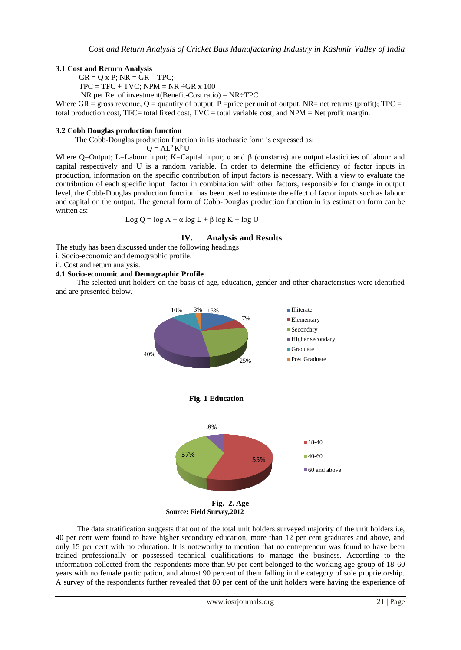# **3.1 Cost and Return Analysis**

 $GR = Q \times P$ ;  $NR = GR - TPC$ ;

 $TPC = TFC + TVC$ ;  $NPM = NR ÷ GR \times 100$ 

NR per Re. of investment (Benefit-Cost ratio) =  $NR = TPC$ 

Where GR = gross revenue,  $Q =$  quantity of output, P = price per unit of output, NR= net returns (profit); TPC = total production cost, TFC= total fixed cost, TVC = total variable cost, and  $NPM = Net$  profit margin.

## **3.2 Cobb Douglas production function**

The Cobb-Douglas production function in its stochastic form is expressed as:

 $Q = AL^{\alpha} K^{\beta} U$ 

Where Q=Output; L=Labour input; K=Capital input;  $\alpha$  and  $\beta$  (constants) are output elasticities of labour and capital respectively and U is a random variable. In order to determine the efficiency of factor inputs in production, information on the specific contribution of input factors is necessary. With a view to evaluate the contribution of each specific input factor in combination with other factors, responsible for change in output level, the Cobb-Douglas production function has been used to estimate the effect of factor inputs such as labour and capital on the output. The general form of Cobb-Douglas production function in its estimation form can be written as:

$$
Log Q = log A + \alpha log L + \beta log K + log U
$$

# **IV. Analysis and Results**

The study has been discussed under the following headings

i. Socio-economic and demographic profile.

ii. Cost and return analysis.

# **4.1 Socio-economic and Demographic Profile**

 The selected unit holders on the basis of age, education, gender and other characteristics were identified and are presented below.



 **Source: Field Survey,2012** 

 The data stratification suggests that out of the total unit holders surveyed majority of the unit holders i.e, 40 per cent were found to have higher secondary education, more than 12 per cent graduates and above, and only 15 per cent with no education. It is noteworthy to mention that no entrepreneur was found to have been trained professionally or possessed technical qualifications to manage the business. According to the information collected from the respondents more than 90 per cent belonged to the working age group of 18-60 years with no female participation, and almost 90 percent of them falling in the category of sole proprietorship. A survey of the respondents further revealed that 80 per cent of the unit holders were having the experience of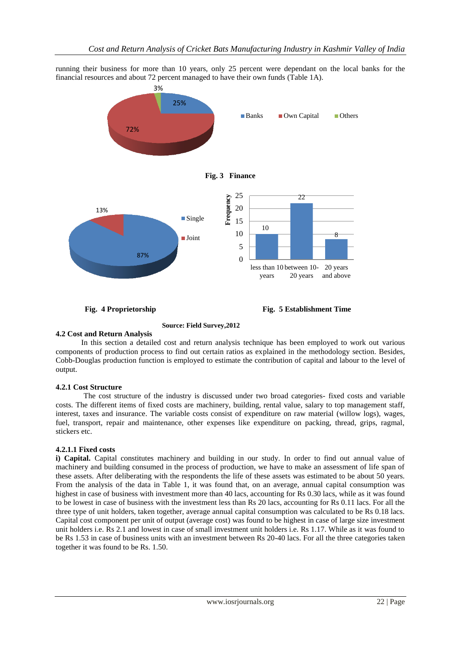running their business for more than 10 years, only 25 percent were dependant on the local banks for the financial resources and about 72 percent managed to have their own funds (Table 1A).



**Fig. 4 Proprietorship Fig. 5 Establishment Time** 

#### **Source: Field Survey,2012 4.2 Cost and Return Analysis**

 In this section a detailed cost and return analysis technique has been employed to work out various components of production process to find out certain ratios as explained in the methodology section. Besides, Cobb-Douglas production function is employed to estimate the contribution of capital and labour to the level of output.

## **4.2.1 Cost Structure**

The cost structure of the industry is discussed under two broad categories- fixed costs and variable costs. The different items of fixed costs are machinery, building, rental value, salary to top management staff, interest, taxes and insurance. The variable costs consist of expenditure on raw material (willow logs), wages, fuel, transport, repair and maintenance, other expenses like expenditure on packing, thread, grips, ragmal, stickers etc.

# **4.2.1.1 Fixed costs**

**i) Capital.** Capital constitutes machinery and building in our study. In order to find out annual value of machinery and building consumed in the process of production, we have to make an assessment of life span of these assets. After deliberating with the respondents the life of these assets was estimated to be about 50 years. From the analysis of the data in Table 1, it was found that, on an average, annual capital consumption was highest in case of business with investment more than 40 lacs, accounting for Rs 0.30 lacs, while as it was found to be lowest in case of business with the investment less than Rs 20 lacs, accounting for Rs 0.11 lacs. For all the three type of unit holders, taken together, average annual capital consumption was calculated to be Rs 0.18 lacs. Capital cost component per unit of output (average cost) was found to be highest in case of large size investment unit holders i.e. Rs 2.1 and lowest in case of small investment unit holders i.e. Rs 1.17. While as it was found to be Rs 1.53 in case of business units with an investment between Rs 20-40 lacs. For all the three categories taken together it was found to be Rs. 1.50.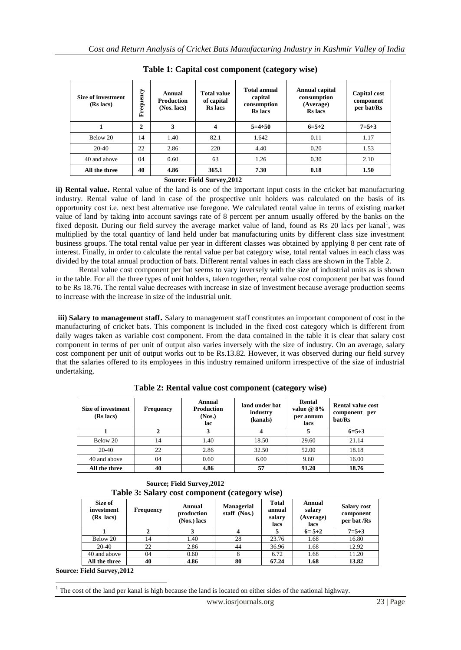| Size of investment<br>(Rs lacs) | Frequency | Annual<br><b>Production</b><br>(Nos. lacs) | <b>Total value</b><br>of capital<br><b>Rs</b> lacs | <b>Total annual</b><br>capital<br>consumption<br><b>Rs</b> lacs | Annual capital<br>consumption<br>(Average)<br><b>Rs</b> lacs | Capital cost<br>component<br>per bat/Rs |
|---------------------------------|-----------|--------------------------------------------|----------------------------------------------------|-----------------------------------------------------------------|--------------------------------------------------------------|-----------------------------------------|
| 1                               | 2         | 3                                          | 4                                                  | $5=4:50$                                                        | $6=5:2$                                                      | $7 = 5 \div 3$                          |
| Below 20                        | 14        | 1.40                                       | 82.1                                               | 1.642                                                           | 0.11                                                         | 1.17                                    |
| $20-40$                         | 22        | 2.86                                       | 220                                                | 4.40                                                            | 0.20                                                         | 1.53                                    |
| 40 and above                    | 04        | 0.60                                       | 63                                                 | 1.26                                                            | 0.30                                                         | 2.10                                    |
| All the three                   | 40        | 4.86                                       | 365.1                                              | 7.30                                                            | 0.18                                                         | 1.50                                    |
|                                 |           |                                            | <b>Source: Field Survey.2012</b>                   |                                                                 |                                                              |                                         |

**Table 1: Capital cost component (category wise)**

**ii) Rental value.** Rental value of the land is one of the important input costs in the cricket bat manufacturing industry. Rental value of land in case of the prospective unit holders was calculated on the basis of its opportunity cost i.e. next best alternative use foregone. We calculated rental value in terms of existing market value of land by taking into account savings rate of 8 percent per annum usually offered by the banks on the fixed deposit. During our field survey the average market value of land, found as Rs 20 lacs per kanal<sup>1</sup>, was multiplied by the total quantity of land held under bat manufacturing units by different class size investment business groups. The total rental value per year in different classes was obtained by applying 8 per cent rate of interest. Finally, in order to calculate the rental value per bat category wise, total rental values in each class was divided by the total annual production of bats. Different rental values in each class are shown in the Table 2.

 Rental value cost component per bat seems to vary inversely with the size of industrial units as is shown in the table. For all the three types of unit holders, taken together, rental value cost component per bat was found to be Rs 18.76. The rental value decreases with increase in size of investment because average production seems to increase with the increase in size of the industrial unit.

**iii) Salary to management staff.** Salary to management staff constitutes an important component of cost in the manufacturing of cricket bats. This component is included in the fixed cost category which is different from daily wages taken as variable cost component. From the data contained in the table it is clear that salary cost component in terms of per unit of output also varies inversely with the size of industry. On an average, salary cost component per unit of output works out to be Rs.13.82. However, it was observed during our field survey that the salaries offered to its employees in this industry remained uniform irrespective of the size of industrial undertaking.

| Size of investment<br>(Rs lacs) | <b>Frequency</b> | Annual<br><b>Production</b><br>(Nos.)<br>lac | land under bat<br>industry<br>(kanals) | Rental<br>value $@$ 8%<br>per annum<br>lacs | <b>Rental value cost</b><br>component per<br>bat/Rs |
|---------------------------------|------------------|----------------------------------------------|----------------------------------------|---------------------------------------------|-----------------------------------------------------|
|                                 |                  |                                              |                                        |                                             | $6 = 5 \div 3$                                      |
| Below 20                        | 14               | 1.40                                         | 18.50                                  | 29.60                                       | 21.14                                               |
| $20-40$                         | 22               | 2.86                                         | 32.50                                  | 52.00                                       | 18.18                                               |
| 40 and above                    | 04               | 0.60                                         | 6.00                                   | 9.60                                        | 16.00                                               |
| All the three                   | 40               | 4.86                                         | 57                                     | 91.20                                       | 18.76                                               |

**Table 2: Rental value cost component (category wise)**

 **Source; Field Survey,2012 Table 3: Salary cost component (category wise)**

| Size of<br>investment<br>(Rs lacs) | Frequency | Annual<br>production<br>(Nos.) lacs | <b>Managerial</b><br>staff (Nos.) | <b>Total</b><br>annual<br>salary<br>lacs | Annual<br>salary<br>(Average)<br>lacs | <b>Salary cost</b><br>component<br>per bat /Rs |
|------------------------------------|-----------|-------------------------------------|-----------------------------------|------------------------------------------|---------------------------------------|------------------------------------------------|
|                                    |           |                                     |                                   |                                          | $6 = 5 \div 2$                        | $7 = 5 \div 3$                                 |
| Below 20                           | 14        | 1.40                                | 28                                | 23.76                                    | 1.68                                  | 16.80                                          |
| 20-40                              | 22        | 2.86                                | 44                                | 36.96                                    | 1.68                                  | 12.92                                          |
| 40 and above                       | 04        | 0.60                                | 8                                 | 6.72                                     | 1.68                                  | 11.20                                          |
| All the three                      | 40        | 4.86                                | 80                                | 67.24                                    | 1.68                                  | 13.82                                          |

**Source: Field Survey,2012**

**.** <sup>1</sup> The cost of the land per kanal is high because the land is located on either sides of the national highway.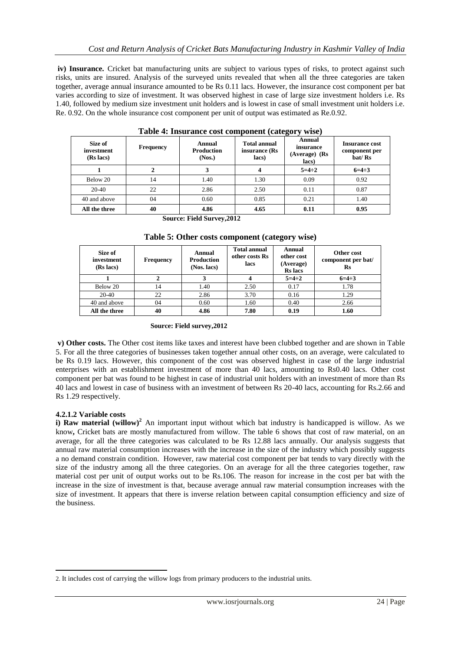**iv) Insurance.** Cricket bat manufacturing units are subject to various types of risks, to protect against such risks, units are insured. Analysis of the surveyed units revealed that when all the three categories are taken together, average annual insurance amounted to be Rs 0.11 lacs. However, the insurance cost component per bat varies according to size of investment. It was observed highest in case of large size investment holders i.e. Rs 1.40, followed by medium size investment unit holders and is lowest in case of small investment unit holders i.e. Re. 0.92. On the whole insurance cost component per unit of output was estimated as Re.0.92.

| Table 4: Histriance cost component (category<br>** 1967 |                  |                                       |                                               |                                               |                                                  |  |  |  |  |
|---------------------------------------------------------|------------------|---------------------------------------|-----------------------------------------------|-----------------------------------------------|--------------------------------------------------|--|--|--|--|
| Size of<br>investment<br>(Rs lacs)                      | <b>Frequency</b> | Annual<br><b>Production</b><br>(Nos.) | <b>Total annual</b><br>insurance (Rs<br>lacs) | Annual<br>insurance<br>(Average) (Rs<br>lacs) | <b>Insurance cost</b><br>component per<br>bat/Rs |  |  |  |  |
|                                                         |                  |                                       | 4                                             | $5=4:2$                                       | $6=4:3$                                          |  |  |  |  |
| Below 20                                                | 14               | 1.40                                  | 1.30                                          | 0.09                                          | 0.92                                             |  |  |  |  |
| 20-40                                                   | 22               | 2.86                                  | 2.50                                          | 0.11                                          | 0.87                                             |  |  |  |  |
| 40 and above                                            | 04               | 0.60                                  | 0.85                                          | 0.21                                          | 1.40                                             |  |  |  |  |
| All the three                                           | 40               | 4.86                                  | 4.65                                          | 0.11                                          | 0.95                                             |  |  |  |  |
|                                                         | --               | ----<br>_______                       |                                               |                                               |                                                  |  |  |  |  |

**Table 4: Insurance cost component (category wise)**

**Source: Field Survey,2012**

| Table 5: Other costs component (category wise) |  |  |  |
|------------------------------------------------|--|--|--|
|                                                |  |  |  |

| Size of<br>investment<br>(Rs lacs) | <b>Frequency</b> | Annual<br><b>Production</b><br>(Nos. lacs) | <b>Total annual</b><br>other costs Rs<br>lacs | <b>Annual</b><br>other cost<br>(Average)<br><b>Rs</b> lacs | Other cost<br>component per bat/<br>Rs |
|------------------------------------|------------------|--------------------------------------------|-----------------------------------------------|------------------------------------------------------------|----------------------------------------|
|                                    |                  |                                            |                                               | $5=4:2$                                                    | $6=4:3$                                |
| Below 20                           | 14               | 1.40                                       | 2.50                                          | 0.17                                                       | 1.78                                   |
| $20 - 40$                          | 22               | 2.86                                       | 3.70                                          | 0.16                                                       | 1.29                                   |
| 40 and above                       | 04               | 0.60                                       | 1.60                                          | 0.40                                                       | 2.66                                   |
| All the three                      | 40               | 4.86                                       | 7.80                                          | 0.19                                                       | 1.60                                   |

## **Source: Field survey,2012**

**v) Other costs.** The Other cost items like taxes and interest have been clubbed together and are shown in Table 5. For all the three categories of businesses taken together annual other costs, on an average, were calculated to be Rs 0.19 lacs. However, this component of the cost was observed highest in case of the large industrial enterprises with an establishment investment of more than 40 lacs, amounting to Rs0.40 lacs. Other cost component per bat was found to be highest in case of industrial unit holders with an investment of more than Rs 40 lacs and lowest in case of business with an investment of between Rs 20-40 lacs, accounting for Rs.2.66 and Rs 1.29 respectively.

# **4.2.1.2 Variable costs**

**.** 

**i) Raw material (willow)<sup>2</sup>** An important input without which bat industry is handicapped is willow. As we know**,** Cricket bats are mostly manufactured from willow. The table 6 shows that cost of raw material, on an average, for all the three categories was calculated to be Rs 12.88 lacs annually. Our analysis suggests that annual raw material consumption increases with the increase in the size of the industry which possibly suggests a no demand constrain condition. However, raw material cost component per bat tends to vary directly with the size of the industry among all the three categories. On an average for all the three categories together, raw material cost per unit of output works out to be Rs.106. The reason for increase in the cost per bat with the increase in the size of investment is that, because average annual raw material consumption increases with the size of investment. It appears that there is inverse relation between capital consumption efficiency and size of the business.

<sup>2.</sup> It includes cost of carrying the willow logs from primary producers to the industrial units.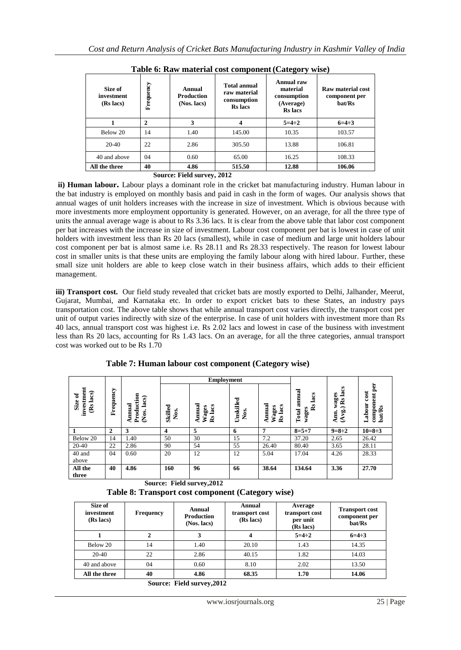| <b>THAT OF THE REMOVEMENT CODY COMPONIUM (CHIVE OF REMOVE</b> |              |                                            |                                                                      |                                                                             |                                              |  |  |  |  |
|---------------------------------------------------------------|--------------|--------------------------------------------|----------------------------------------------------------------------|-----------------------------------------------------------------------------|----------------------------------------------|--|--|--|--|
| Size of<br>investment<br>(Rs lacs)                            | Frequency    | Annual<br><b>Production</b><br>(Nos. lacs) | <b>Total annual</b><br>raw material<br>consumption<br><b>Rs</b> lacs | <b>Annual raw</b><br>material<br>consumption<br>(Average)<br><b>Rs</b> lacs | Raw material cost<br>component per<br>bat/Rs |  |  |  |  |
| 1                                                             | $\mathbf{2}$ | 3                                          | 4                                                                    | $5 = 4 \div 2$                                                              | $6=4:3$                                      |  |  |  |  |
| Below 20                                                      | 14           | 1.40                                       | 145.00                                                               | 10.35                                                                       | 103.57                                       |  |  |  |  |
| $20-40$                                                       | 22           | 2.86                                       | 305.50                                                               | 13.88                                                                       | 106.81                                       |  |  |  |  |
| 40 and above                                                  | 04           | 0.60                                       | 65.00                                                                | 16.25                                                                       | 108.33                                       |  |  |  |  |
| All the three                                                 | 40           | 4.86                                       | 515.50                                                               | 12.88                                                                       | 106.06                                       |  |  |  |  |
| Source: Field survey, 2012                                    |              |                                            |                                                                      |                                                                             |                                              |  |  |  |  |

**Table 6: Raw material cost component(Category wise)**

**ii) Human labour.** Labour plays a dominant role in the cricket bat manufacturing industry. Human labour in the bat industry is employed on monthly basis and paid in cash in the form of wages. Our analysis shows that annual wages of unit holders increases with the increase in size of investment. Which is obvious because with more investments more employment opportunity is generated. However, on an average, for all the three type of units the annual average wage is about to Rs 3.36 lacs. It is clear from the above table that labor cost component per bat increases with the increase in size of investment. Labour cost component per bat is lowest in case of unit holders with investment less than Rs 20 lacs (smallest), while in case of medium and large unit holders labour cost component per bat is almost same i.e. Rs 28.11 and Rs 28.33 respectively. The reason for lowest labour cost in smaller units is that these units are employing the family labour along with hired labour. Further, these small size unit holders are able to keep close watch in their business affairs, which adds to their efficient management.

**iii) Transport cost.** Our field study revealed that cricket bats are mostly exported to Delhi, Jalhander, Meerut, Gujarat, Mumbai, and Karnataka etc. In order to export cricket bats to these States, an industry pays transportation cost. The above table shows that while annual transport cost varies directly, the transport cost per unit of output varies indirectly with size of the enterprise. In case of unit holders with investment more than Rs 40 lacs, annual transport cost was highest i.e. Rs 2.02 lacs and lowest in case of the business with investment less than Rs 20 lacs, accounting for Rs 1.43 lacs. On an average, for all the three categories, annual transport cost was worked out to be Rs 1.70

|                                    |              |                                                   |                         |                                                   | <b>Employment</b>                     |                            |                                                    |                              |                                                  |
|------------------------------------|--------------|---------------------------------------------------|-------------------------|---------------------------------------------------|---------------------------------------|----------------------------|----------------------------------------------------|------------------------------|--------------------------------------------------|
| investment<br>(Rs lacs)<br>Size of | Frequency    | Production<br>(Nos. lacs)<br>Annual               | <b>Skilled</b><br>Nos.  | Annual<br>Rs lacs<br>Wages                        | Unskilled<br>Χó.                      | Annual<br>Rs lacs<br>Wages | Total annual<br>Rs lacs<br>wages                   | (Avg.) Rs lacs<br>Ann. wages | component per<br>Labour cost<br><b>bat/Rs</b>    |
| $\mathbf{1}$                       | $\mathbf{2}$ | 3                                                 | $\overline{\mathbf{4}}$ | 5                                                 | 6                                     | 7                          | $8 = 5 + 7$                                        | $9=8:2$                      | $10=8:3$                                         |
| Below 20                           | 14           | 1.40                                              | 50                      | 30                                                | 15                                    | 7.2                        | 37.20                                              | 2.65                         | 26.42                                            |
| $20-40$                            | 22           | 2.86                                              | 90                      | 54                                                | 55                                    | 26.40                      | 80.40                                              | 3.65                         | 28.11                                            |
| 40 and<br>above                    | 04           | 0.60                                              | 20                      | 12                                                | 12                                    | 5.04                       | 17.04                                              | 4.26                         | 28.33                                            |
| All the<br>three                   | 40           | 4.86                                              | 160                     | 96                                                | 66                                    | 38.64                      | 134.64                                             | 3.36                         | 27.70                                            |
|                                    |              | Table 8: Transport cost component (Category wise) |                         | Source: Field survey, 2012                        |                                       |                            |                                                    |                              |                                                  |
| Size of<br>investment<br>(Rs lacs) |              | <b>Frequency</b>                                  |                         | <b>Annual</b><br><b>Production</b><br>(Nos. lacs) | Annual<br>transport cost<br>(Rs lacs) |                            | Average<br>transport cost<br>per unit<br>(Rs lacs) |                              | <b>Transport cost</b><br>component per<br>bat/Rs |
| $\mathbf{1}$                       |              | $\overline{2}$                                    |                         | 3                                                 | 4                                     |                            | $5 = 4 \div 2$                                     |                              | $6=4:3$                                          |
| Below 20                           |              | 14                                                |                         | 1.40                                              | 20.10                                 |                            | 1.43                                               |                              | 14.35                                            |
| 20-40                              |              | 22                                                |                         | 2.86                                              | 40.15                                 |                            | 1.82                                               |                              | 14.03                                            |
| 40 and above                       |              | 04                                                |                         | 0.60                                              | 8.10                                  |                            | 2.02                                               |                              | 13.50                                            |
|                                    |              |                                                   |                         |                                                   |                                       |                            |                                                    |                              |                                                  |
| All the three                      |              | 40                                                |                         | 4.86                                              | 68.35                                 |                            | 1.70                                               |                              | 14.06                                            |

**Table 7: Human labour cost component (Category wise)**

**Source: Field survey,2012**

**Table 8: Transport cost component (Category wise)** 

| Size of<br>investment<br>(Rs lacs) | <b>Frequency</b> | Annual<br><b>Production</b><br>(Nos. lacs) | Annual<br>transport cost<br>(Rs lacs) | Average<br>transport cost<br>per unit<br>(Rs lacs) | <b>Transport cost</b><br>component per<br>bat/Rs |
|------------------------------------|------------------|--------------------------------------------|---------------------------------------|----------------------------------------------------|--------------------------------------------------|
|                                    | 2                | 3                                          | 4                                     | $5 = 4 \div 2$                                     | $6=4:3$                                          |
| Below 20                           | 14               | 1.40                                       | 20.10                                 | 1.43                                               | 14.35                                            |
| $20-40$                            | 22               | 2.86                                       | 40.15                                 | 1.82                                               | 14.03                                            |
| 40 and above                       | 04               | 0.60                                       | 8.10                                  | 2.02                                               | 13.50                                            |
| All the three                      | 40               | 4.86                                       | 68.35                                 | 1.70                                               | 14.06                                            |
|                                    |                  | $C_{\text{average}}$ Eald $\alpha$         |                                       |                                                    |                                                  |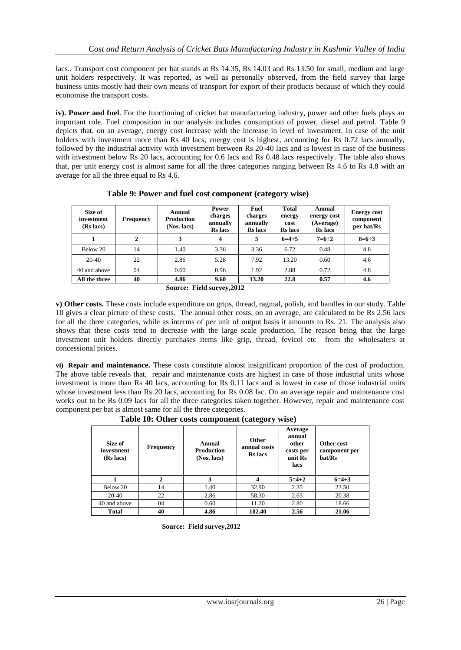lacs.. Transport cost component per bat stands at Rs 14.35, Rs 14.03 and Rs 13.50 for small, medium and large unit holders respectively. It was reported, as well as personally observed, from the field survey that large business units mostly had their own means of transport for export of their products because of which they could economise the transport costs.

**iv). Power and fuel**. For the functioning of cricket bat manufacturing industry, power and other fuels plays an important role. Fuel composition in our analysis includes consumption of power, diesel and petrol. Table 9 depicts that, on an average, energy cost increase with the increase in level of investment. In case of the unit holders with investment more than Rs 40 lacs, energy cost is highest, accounting for Rs 0.72 lacs annually, followed by the industrial activity with investment between Rs 20-40 lacs and is lowest in case of the business with investment below Rs 20 lacs, accounting for 0.6 lacs and Rs 0.48 lacs respectively. The table also shows that, per unit energy cost is almost same for all the three categories ranging between Rs 4.6 to Rs 4.8 with an average for all the three equal to Rs 4.6.

| Size of<br>investment<br>(Rs lacs) | <b>Frequency</b> | Annual<br>Production<br>(Nos. lacs) | <b>Power</b><br>charges<br>annually<br><b>Rs</b> lacs | Fuel<br>charges<br>annually<br><b>Rs</b> lacs | <b>Total</b><br>energy<br>cost<br><b>Rs</b> lacs | Annual<br>energy cost<br>(Average)<br><b>Rs</b> lacs | <b>Energy cost</b><br>component<br>per bat/Rs |
|------------------------------------|------------------|-------------------------------------|-------------------------------------------------------|-----------------------------------------------|--------------------------------------------------|------------------------------------------------------|-----------------------------------------------|
|                                    | 2                |                                     | $\boldsymbol{4}$                                      | 5                                             | $6=4+5$                                          | $7=6:2$                                              | $8=6:3$                                       |
| Below 20                           | 14               | 1.40                                | 3.36                                                  | 3.36                                          | 6.72                                             | 0.48                                                 | 4.8                                           |
| $20-40$                            | 22               | 2.86                                | 5.28                                                  | 7.92                                          | 13.20                                            | 0.60                                                 | 4.6                                           |
| 40 and above                       | 04               | 0.60                                | 0.96                                                  | 1.92                                          | 2.88                                             | 0.72                                                 | 4.8                                           |
| All the three                      | 40               | 4.86<br>$\alpha$ and $\alpha$       | 9.60<br>$\mathbf{r}$ . $\mathbf{r}$<br>AA             | 13.20                                         | 22.8                                             | 0.57                                                 | 4.6                                           |

 **Table 9: Power and fuel cost component (category wise)**

**v) Other costs.** These costs include expenditure on grips, thread, ragmal, polish, and handles in our study. Table 10 gives a clear picture of these costs.The annual other costs, on an average, are calculated to be Rs 2.56 lacs for all the three categories, while as interms of per unit of output basis it amounts to Rs. 21. The analysis also shows that these costs tend to decrease with the large scale production. The reason being that the large investment unit holders directly purchases items like grip, thread, fevicol etc from the wholesalers at concessional prices.

**vi) Repair and maintenance.** These costs constitute almost insignificant proportion of the cost of production. The above table reveals that, repair and maintenance costs are highest in case of those industrial units whose investment is more than Rs 40 lacs, accounting for Rs 0.11 lacs and is lowest in case of those industrial units whose investment less than Rs 20 lacs, accounting for Rs 0.08 lac. On an average repair and maintenance cost works out to be Rs 0.09 lacs for all the three categories taken together. However, repair and maintenance cost component per bat is almost same for all the three categories.

 **Table 10: Other costs component (category wise)**

| Size of<br>investment<br>(Rs lacs) | <b>Frequency</b> | Annual<br><b>Production</b><br>(Nos. lacs) | <b>Other</b><br>annual costs<br><b>Rs</b> lacs | Average<br>annual<br>other<br>costs per<br>unit Rs<br>lacs | Other cost<br>component per<br>bat/Rs |
|------------------------------------|------------------|--------------------------------------------|------------------------------------------------|------------------------------------------------------------|---------------------------------------|
|                                    | $\mathbf{2}$     | 3                                          | 4                                              | $5=4:2$                                                    | $6=4:3$                               |
| Below 20                           | 14               | 1.40                                       | 32.90                                          | 2.35                                                       | 23.50                                 |
| 20-40                              | 22               | 2.86                                       | 58.30                                          | 2.65                                                       | 20.38                                 |
| 40 and above                       | 04               | 0.60                                       | 11.20                                          | 2.80                                                       | 18.66                                 |
| <b>Total</b>                       | 40               | 4.86                                       | 102.40                                         | 2.56                                                       | 21.06                                 |

 **Source: Field survey,2012**

**Source: Field survey,2012**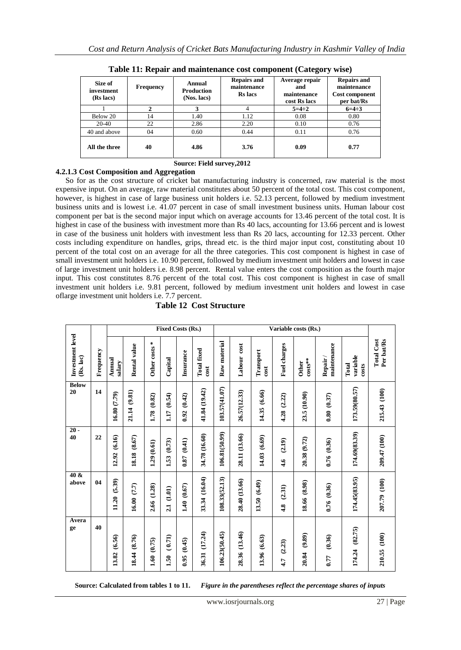| Size of<br>investment<br>(Rs lacs) | <b>Frequency</b> | Annual<br><b>Production</b><br>(Nos. lacs) | <b>Repairs and</b><br>maintenance<br><b>Rs</b> lacs | Average repair<br>and<br>maintenance<br>cost Rs lacs | <b>Repairs and</b><br>maintenance<br><b>Cost component</b><br>per bat/Rs |  |  |  |  |
|------------------------------------|------------------|--------------------------------------------|-----------------------------------------------------|------------------------------------------------------|--------------------------------------------------------------------------|--|--|--|--|
|                                    |                  |                                            |                                                     | $5=4:2$                                              | $6=4:3$                                                                  |  |  |  |  |
| Below 20                           | 14               | 1.40                                       | 1.12                                                | 0.08                                                 | 0.80                                                                     |  |  |  |  |
| 20-40                              | 22               | 2.86                                       | 2.20                                                | 0.10                                                 | 0.76                                                                     |  |  |  |  |
| 40 and above                       | 04               | 0.60                                       | 0.44                                                | 0.11                                                 | 0.76                                                                     |  |  |  |  |
| All the three                      | 40               | 4.86                                       | 3.76                                                | 0.09                                                 | 0.77                                                                     |  |  |  |  |

**Table 11: Repair and maintenance cost component (Category wise)**

# **Source: Field survey,2012**

# **4.2.1.3 Cost Composition and Aggregation**

 So for as the cost structure of cricket bat manufacturing industry is concerned, raw material is the most expensive input. On an average, raw material constitutes about 50 percent of the total cost. This cost component, however, is highest in case of large business unit holders i.e. 52.13 percent, followed by medium investment business units and is lowest i.e. 41.07 percent in case of small investment business units. Human labour cost component per bat is the second major input which on average accounts for 13.46 percent of the total cost. It is highest in case of the business with investment more than Rs 40 lacs, accounting for 13.66 percent and is lowest in case of the business unit holders with investment less than Rs 20 lacs, accounting for 12.33 percent. Other costs including expenditure on handles, grips, thread etc. is the third major input cost, constituting about 10 percent of the total cost on an average for all the three categories. This cost component is highest in case of small investment unit holders i.e. 10.90 percent, followed by medium investment unit holders and lowest in case of large investment unit holders i.e. 8.98 percent. Rental value enters the cost composition as the fourth major input. This cost constitutes 8.76 percent of the total cost. This cost component is highest in case of small investment unit holders i.e. 9.81 percent, followed by medium investment unit holders and lowest in case oflarge investment unit holders i.e. 7.7 percent.

|                               |           | Fixed Costs (Rs.) |                 |                |                |                |                            | Variable costs (Rs.) |                  |                   |                |                           |                        |                            |                                 |
|-------------------------------|-----------|-------------------|-----------------|----------------|----------------|----------------|----------------------------|----------------------|------------------|-------------------|----------------|---------------------------|------------------------|----------------------------|---------------------------------|
| Investment level<br>(Rs. lac) | Frequency | Annual<br>salary  | Rental value    | Other costs *  | Capital        | Insurance      | <b>Total fixed</b><br>cost | Raw material         | cost<br>Labour   | Transport<br>cost | Fuel charges   | $costs**$<br><b>Other</b> | maintenance<br>Repair/ | variable<br>Total<br>costs | Per bat/Rs<br><b>Total Cost</b> |
| <b>Below</b><br>20            | 14        | 16.80 (7.79)      | (9.81)<br>21.14 | (0.82)<br>1.78 | (0.54)<br>1.17 | (0.42)<br>0.92 | 41.84 (19.42)              | 103.57(41.07)        | 26.57(12.33)     | (6.66)<br>14.35   | (2.22)<br>4.28 | 23.5 (10.90)              | 0.80(0.37)             | 173.59(80.57)              | 215.43 (100)                    |
| $20 -$<br>40                  | 22        | (6.16)<br>12.92   | (8.67)<br>18.18 | 1.29(0.61)     | (0.73)<br>1.53 | (0.41)<br>0.87 | 34.78 (16.60)              | 106.81(50.99)        | 28.11 (13.66)    | 14.03 (6.69)      | (2.19)<br>4.6  | 20.38 (9.72)              | 0.76 (0.36)            | 174.69(83.39)              | 209.47 (100)                    |
| 40 &<br>above                 | 04        | (5.39)<br>11.20   | 16.00(7.7)      | (1.28)<br>2.66 | (1.01)<br>21   | (0.67)<br>1.40 | (16.04)<br>33.34           | 108.33(52.13)        | 28.40 (13.66)    | 13.50 (6.49)      | (2.31)<br>4.8  | 18.66 (8.98)              | 0.76 (0.36)            | 174.45(83.95)              | 207.79 (100)                    |
| Avera<br>ge                   | 40        | (6.56)<br>13.82   | (8.76)<br>18.44 | (0.75)<br>1.60 | (0.71)<br>1.50 | (0.45)<br>0.95 | (17.24)<br>36.31           | 106.23(50.45)        | (13.46)<br>28.36 | 13.96 (6.63)      | (2.23)<br>4.7  | (9.89)<br>20.84           | (0.36)<br>0.77         | (82.75)<br>174.24          | 210.55 (100)                    |

 **Source: Calculated from tables 1 to 11.** *Figure in the parentheses reflect the percentage shares of inputs*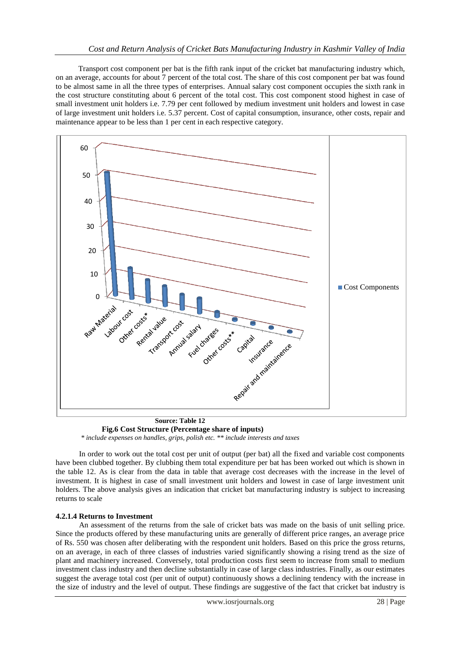Transport cost component per bat is the fifth rank input of the cricket bat manufacturing industry which, on an average, accounts for about 7 percent of the total cost. The share of this cost component per bat was found to be almost same in all the three types of enterprises. Annual salary cost component occupies the sixth rank in the cost structure constituting about 6 percent of the total cost. This cost component stood highest in case of small investment unit holders i.e. 7.79 per cent followed by medium investment unit holders and lowest in case of large investment unit holders i.e. 5.37 percent. Cost of capital consumption, insurance, other costs, repair and maintenance appear to be less than 1 per cent in each respective category.



 **Fig.6 Cost Structure (Percentage share of inputs)**  *\* include expenses on handles, grips, polish etc. \*\* include interests and taxes*

In order to work out the total cost per unit of output (per bat) all the fixed and variable cost components have been clubbed together. By clubbing them total expenditure per bat has been worked out which is shown in the table 12. As is clear from the data in table that average cost decreases with the increase in the level of investment. It is highest in case of small investment unit holders and lowest in case of large investment unit holders. The above analysis gives an indication that cricket bat manufacturing industry is subject to increasing returns to scale

# **4.2.1.4 Returns to Investment**

An assessment of the returns from the sale of cricket bats was made on the basis of unit selling price. Since the products offered by these manufacturing units are generally of different price ranges, an average price of Rs. 550 was chosen after deliberating with the respondent unit holders. Based on this price the gross returns, on an average, in each of three classes of industries varied significantly showing a rising trend as the size of plant and machinery increased. Conversely, total production costs first seem to increase from small to medium investment class industry and then decline substantially in case of large class industries. Finally, as our estimates suggest the average total cost (per unit of output) continuously shows a declining tendency with the increase in the size of industry and the level of output. These findings are suggestive of the fact that cricket bat industry is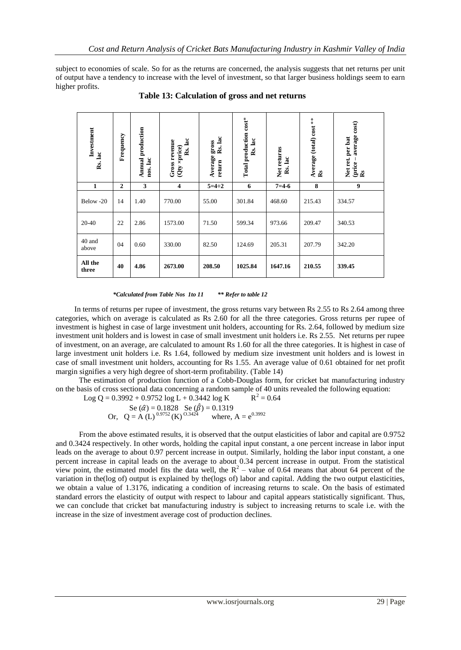subject to economies of scale. So for as the returns are concerned, the analysis suggests that net returns per unit of output have a tendency to increase with the level of investment, so that larger business holdings seem to earn higher profits.

|                                                                                                                                                                                                                                                                                                                                                                                                                                                                                                                                                                                                                                                                                                                                                                                                                                                                                                                                                                                                                                                                                                                                                                                                                                                                                                                                                                                                                                                                                                                                                                                                                                                                                                                                                                                                                                                                            | Investment<br>Rs.lac            | Frequency | Annual production<br>nos. lac | Rs. lac<br>Gross revenue<br>(Qty ×price) | return Rs.lac<br>Average gross | Total production cost*<br>Rs. lac | Net returns<br>Rs.lac | Average (total) cost **<br>Rs | (price – average cost)<br>Rs<br>Net ret. per bat |  |
|----------------------------------------------------------------------------------------------------------------------------------------------------------------------------------------------------------------------------------------------------------------------------------------------------------------------------------------------------------------------------------------------------------------------------------------------------------------------------------------------------------------------------------------------------------------------------------------------------------------------------------------------------------------------------------------------------------------------------------------------------------------------------------------------------------------------------------------------------------------------------------------------------------------------------------------------------------------------------------------------------------------------------------------------------------------------------------------------------------------------------------------------------------------------------------------------------------------------------------------------------------------------------------------------------------------------------------------------------------------------------------------------------------------------------------------------------------------------------------------------------------------------------------------------------------------------------------------------------------------------------------------------------------------------------------------------------------------------------------------------------------------------------------------------------------------------------------------------------------------------------|---------------------------------|-----------|-------------------------------|------------------------------------------|--------------------------------|-----------------------------------|-----------------------|-------------------------------|--------------------------------------------------|--|
|                                                                                                                                                                                                                                                                                                                                                                                                                                                                                                                                                                                                                                                                                                                                                                                                                                                                                                                                                                                                                                                                                                                                                                                                                                                                                                                                                                                                                                                                                                                                                                                                                                                                                                                                                                                                                                                                            | 3<br>1<br>$\boldsymbol{2}$<br>4 |           |                               |                                          | $5 = 4 \div 2$                 | 6                                 | $7 = 4 - 6$           | 8                             | 9                                                |  |
|                                                                                                                                                                                                                                                                                                                                                                                                                                                                                                                                                                                                                                                                                                                                                                                                                                                                                                                                                                                                                                                                                                                                                                                                                                                                                                                                                                                                                                                                                                                                                                                                                                                                                                                                                                                                                                                                            | Below -20                       | 14        | 1.40                          | 770.00                                   | 55.00                          | 301.84                            | 468.60                | 215.43                        | 334.57                                           |  |
|                                                                                                                                                                                                                                                                                                                                                                                                                                                                                                                                                                                                                                                                                                                                                                                                                                                                                                                                                                                                                                                                                                                                                                                                                                                                                                                                                                                                                                                                                                                                                                                                                                                                                                                                                                                                                                                                            | 20-40                           | 22        | 2.86                          | 1573.00                                  | 71.50                          | 599.34                            | 973.66                | 209.47                        | 340.53                                           |  |
|                                                                                                                                                                                                                                                                                                                                                                                                                                                                                                                                                                                                                                                                                                                                                                                                                                                                                                                                                                                                                                                                                                                                                                                                                                                                                                                                                                                                                                                                                                                                                                                                                                                                                                                                                                                                                                                                            | 40 and<br>above                 | 04        | 0.60                          | 330.00                                   | 82.50                          | 124.69                            | 205.31                | 207.79                        | 342.20                                           |  |
|                                                                                                                                                                                                                                                                                                                                                                                                                                                                                                                                                                                                                                                                                                                                                                                                                                                                                                                                                                                                                                                                                                                                                                                                                                                                                                                                                                                                                                                                                                                                                                                                                                                                                                                                                                                                                                                                            | All the<br>three                | 40        | 4.86                          | 2673.00                                  | 208.50                         | 1025.84                           | 1647.16               | 210.55                        | 339.45                                           |  |
| In terms of returns per rupee of investment, the gross returns vary between Rs 2.55 to Rs 2.64 among<br>categories, which on average is calculated as Rs 2.60 for all the three categories. Gross returns per rue<br>investment is highest in case of large investment unit holders, accounting for Rs. 2.64, followed by mediu<br>investment unit holders and is lowest in case of small investment unit holders i.e. Rs 2.55. Net returns per<br>of investment, on an average, are calculated to amount Rs 1.60 for all the three categories. It is highest in o<br>large investment unit holders i.e. Rs 1.64, followed by medium size investment unit holders and is low<br>case of small investment unit holders, accounting for Rs 1.55. An average value of 0.61 obtained for net<br>margin signifies a very high degree of short-term profitability. (Table 14)<br>The estimation of production function of a Cobb-Douglas form, for cricket bat manufacturing in<br>on the basis of cross sectional data concerning a random sample of 40 units revealed the following equatio<br>$R^2 = 0.64$<br>Log Q = $0.3992 + 0.9752 \log L + 0.3442 \log K$<br>Se $(\hat{\alpha}) = 0.1828$ Se $(\hat{\beta}) = 0.1319$<br>Or, Q = A (L) $^{0.9752}$ (K) $^{0.3424}$ where,<br>where, $A = e^{0.3992}$<br>From the above estimated results, it is observed that the output elasticities of labor and capital are (<br>and 0.3424 respectively. In other words, holding the capital input constant, a one percent increase in labor<br>leads on the average to about 0.97 percent increase in output. Similarly, holding the labor input constant,<br>percent increase in capital leads on the average to about 0.34 percent increase in output. From the stat<br>view point, the estimated model fits the data well, the $R^2$ – value of 0.64 means that about 64 percent |                                 |           |                               |                                          |                                |                                   |                       |                               |                                                  |  |
| variation in the (log of) output is explained by the (logs of) labor and capital. Adding the two output elasti<br>we obtain a value of 1.3176, indicating a condition of increasing returns to scale. On the basis of esti<br>standard errors the elasticity of output with respect to labour and capital appears statistically significant.<br>we can conclude that cricket bat manufacturing industry is subject to increasing returns to scale i.e. wi<br>increase in the size of investment average cost of production declines.                                                                                                                                                                                                                                                                                                                                                                                                                                                                                                                                                                                                                                                                                                                                                                                                                                                                                                                                                                                                                                                                                                                                                                                                                                                                                                                                       |                                 |           |                               |                                          |                                |                                   |                       |                               |                                                  |  |

 **Table 13: Calculation of gross and net returns**

In terms of returns per rupee of investment, the gross returns vary between Rs 2.55 to Rs 2.64 among three categories, which on average is calculated as Rs 2.60 for all the three categories. Gross returns per rupee of investment is highest in case of large investment unit holders, accounting for Rs. 2.64, followed by medium size investment unit holders and is lowest in case of small investment unit holders i.e. Rs 2.55. Net returns per rupee of investment, on an average, are calculated to amount Rs 1.60 for all the three categories. It is highest in case of large investment unit holders i.e. Rs 1.64, followed by medium size investment unit holders and is lowest in case of small investment unit holders, accounting for Rs 1.55. An average value of 0.61 obtained for net profit margin signifies a very high degree of short-term profitability. (Table 14)

 The estimation of production function of a Cobb-Douglas form, for cricket bat manufacturing industry on the basis of cross sectional data concerning a random sample of 40 units revealed the following equation:

Log Q = 0.3992 + 0.9752 log L + 0.3442 log K 
$$
R^2 = 0.64
$$

 From the above estimated results, it is observed that the output elasticities of labor and capital are 0.9752 and 0.3424 respectively. In other words, holding the capital input constant, a one percent increase in labor input leads on the average to about 0.97 percent increase in output. Similarly, holding the labor input constant, a one percent increase in capital leads on the average to about 0.34 percent increase in output. From the statistical view point, the estimated model fits the data well, the  $R^2$  – value of 0.64 means that about 64 percent of the variation in the(log of) output is explained by the(logs of) labor and capital. Adding the two output elasticities, we obtain a value of 1.3176, indicating a condition of increasing returns to scale. On the basis of estimated standard errors the elasticity of output with respect to labour and capital appears statistically significant. Thus, we can conclude that cricket bat manufacturing industry is subject to increasing returns to scale i.e. with the increase in the size of investment average cost of production declines.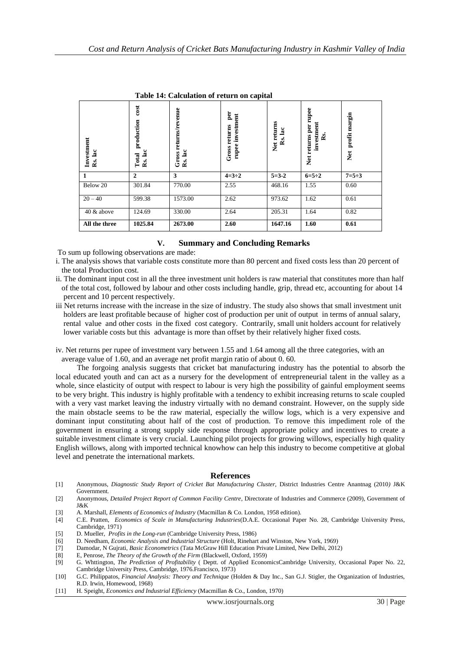**11**<br> **Example 10**<br> **Example 10**<br> **Example 10**<br> **Example 10**<br> **Example 10**<br> **Example 10**<br> **Example 10**<br> **Example 10**<br> **Example 10**<br> **Example 10**<br> **Example 10**<br> **Example 10**<br> **Example 10**<br> **Example 10**<br> **Example 10**<br> **Exam Net returns per rupee**  Vet returns per rupee profit margin **Net profit margin investment Rs.** Net **1 2 3 4=3÷2 5=3-2 6=5÷2 7=5÷3** Below 20 301.84 770.00 2.55 468.16 1.55 0.60 20 – 40 599.38 1573.00 2.62 973.62 1.62 0.61 40 & above 124.69 330.00 2.64 205.31 1.64 0.82 **All the three 1025.84 2673.00 2.60 1647.16 1.60 0.61**

 **Table 14: Calculation of return on capital**

# **V. Summary and Concluding Remarks**

To sum up following observations are made:

- i. The analysis shows that variable costs constitute more than 80 percent and fixed costs less than 20 percent of the total Production cost.
- ii. The dominant input cost in all the three investment unit holders is raw material that constitutes more than half of the total cost, followed by labour and other costs including handle, grip, thread etc, accounting for about 14 percent and 10 percent respectively.
- iii Net returns increase with the increase in the size of industry. The study also shows that small investment unit holders are least profitable because of higher cost of production per unit of output in terms of annual salary, rental value and other costs in the fixed cost category. Contrarily, small unit holders account for relatively lower variable costs but this advantage is more than offset by their relatively higher fixed costs.
- iv. Net returns per rupee of investment vary between 1.55 and 1.64 among all the three categories, with an average value of 1.60, and an average net profit margin ratio of about 0. 60.

 The forgoing analysis suggests that cricket bat manufacturing industry has the potential to absorb the local educated youth and can act as a nursery for the development of entrepreneurial talent in the valley as a whole, since elasticity of output with respect to labour is very high the possibility of gainful employment seems to be very bright. This industry is highly profitable with a tendency to exhibit increasing returns to scale coupled with a very vast market leaving the industry virtually with no demand constraint. However, on the supply side the main obstacle seems to be the raw material, especially the willow logs, which is a very expensive and dominant input constituting about half of the cost of production. To remove this impediment role of the government in ensuring a strong supply side response through appropriate policy and incentives to create a suitable investment climate is very crucial. Launching pilot projects for growing willows, especially high quality English willows, along with imported technical knowhow can help this industry to become competitive at global level and penetrate the international markets.

#### **References**

- [1] Anonymous, *Diagnostic Study Report of Cricket Bat Manufacturing Cluster,* District Industries Centre Anantnag (2010*)* J&K Government*.*
- [2] Anonymous, *Detailed Project Report of Common Facility Centre*, Directorate of Industries and Commerce (2009), Government of J&K
- [3] A. Marshall, *Elements of Economics of Industry* (Macmillan & Co. London, 1958 edition).
- [4] C.E. Pratten, *Economics of Scale in Manufacturing Industries*(D.A.E. Occasional Paper No. 28, Cambridge University Press, Cambridge, 1971)
- [5] D. Mueller, *Profits in the Long-run* (Cambridge University Press, 1986)
- [6] D. Needham, *Economic Analysis and Industrial Structure* (Holt, Rinehart and Winston, New York, 1969)
- [7] Damodar, N Gujrati, *Basic Econometrics* (Tata McGraw Hill Education Private Limited, New Delhi, 2012)
- [8] E, Penrose, *The Theory of the Growth of the Firm* (Blackwell, Oxford, 1959)
- [9] G. Whttington, *The Prediction of Profitability* ( Deptt. of Applied EconomicsCambridge University, Occasional Paper No. 22, Cambridge University Press, Cambridge, 1976.Francisco, 1973)
- [10] G.C. Philippatos, *Financial Analysis: Theory and Technique* (Holden & Day Inc., San G.J. Stigler, the Organization of Industries, R.D. Irwin, Homewood, 1968)<br>H. Speight, *Economics and Industrial Efficiency* (Macmillan & Co., London, 1970)
-